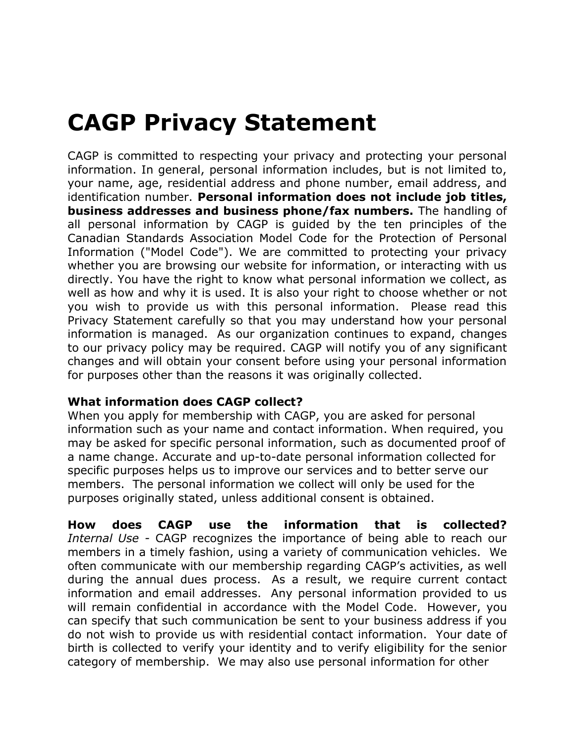## **CAGP Privacy Statement**

CAGP is committed to respecting your privacy and protecting your personal information. In general, personal information includes, but is not limited to, your name, age, residential address and phone number, email address, and identification number. **Personal information does not include job titles, business addresses and business phone/fax numbers.** The handling of all personal information by CAGP is guided by the ten principles of the Canadian Standards Association Model Code for the Protection of Personal Information ("Model Code"). We are committed to protecting your privacy whether you are browsing our website for information, or interacting with us directly. You have the right to know what personal information we collect, as well as how and why it is used. It is also your right to choose whether or not you wish to provide us with this personal information. Please read this Privacy Statement carefully so that you may understand how your personal information is managed. As our organization continues to expand, changes to our privacy policy may be required. CAGP will notify you of any significant changes and will obtain your consent before using your personal information for purposes other than the reasons it was originally collected.

## **What information does CAGP collect?**

When you apply for membership with CAGP, you are asked for personal information such as your name and contact information. When required, you may be asked for specific personal information, such as documented proof of a name change. Accurate and up-to-date personal information collected for specific purposes helps us to improve our services and to better serve our members. The personal information we collect will only be used for the purposes originally stated, unless additional consent is obtained.

**How does CAGP use the information that is collected?** *Internal Use -* CAGP recognizes the importance of being able to reach our members in a timely fashion, using a variety of communication vehicles. We often communicate with our membership regarding CAGP's activities, as well during the annual dues process. As a result, we require current contact information and email addresses. Any personal information provided to us will remain confidential in accordance with the Model Code. However, you can specify that such communication be sent to your business address if you do not wish to provide us with residential contact information. Your date of birth is collected to verify your identity and to verify eligibility for the senior category of membership. We may also use personal information for other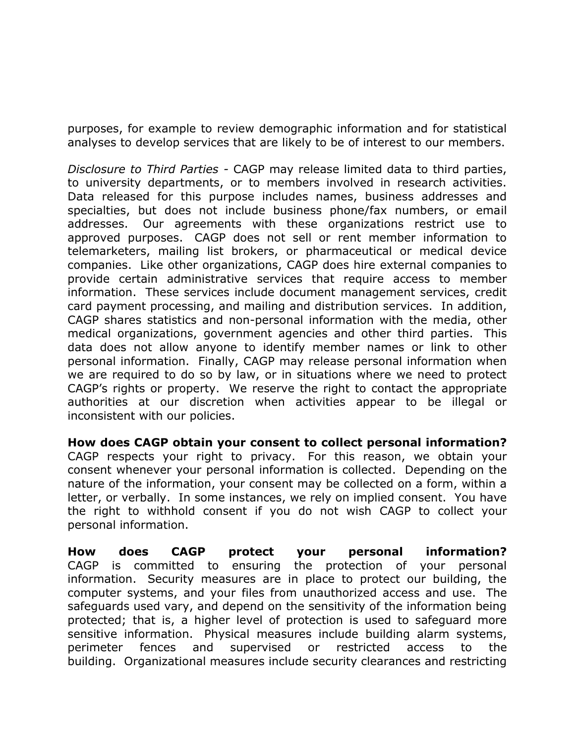purposes, for example to review demographic information and for statistical analyses to develop services that are likely to be of interest to our members.

*Disclosure to Third Parties -* CAGP may release limited data to third parties, to university departments, or to members involved in research activities. Data released for this purpose includes names, business addresses and specialties, but does not include business phone/fax numbers, or email addresses. Our agreements with these organizations restrict use to approved purposes. CAGP does not sell or rent member information to telemarketers, mailing list brokers, or pharmaceutical or medical device companies. Like other organizations, CAGP does hire external companies to provide certain administrative services that require access to member information. These services include document management services, credit card payment processing, and mailing and distribution services. In addition, CAGP shares statistics and non-personal information with the media, other medical organizations, government agencies and other third parties. This data does not allow anyone to identify member names or link to other personal information. Finally, CAGP may release personal information when we are required to do so by law, or in situations where we need to protect CAGP's rights or property. We reserve the right to contact the appropriate authorities at our discretion when activities appear to be illegal or inconsistent with our policies.

**How does CAGP obtain your consent to collect personal information?**  CAGP respects your right to privacy. For this reason, we obtain your consent whenever your personal information is collected. Depending on the nature of the information, your consent may be collected on a form, within a letter, or verbally. In some instances, we rely on implied consent. You have the right to withhold consent if you do not wish CAGP to collect your personal information.

**How does CAGP protect your personal information?** CAGP is committed to ensuring the protection of your personal information. Security measures are in place to protect our building, the computer systems, and your files from unauthorized access and use. The safeguards used vary, and depend on the sensitivity of the information being protected; that is, a higher level of protection is used to safeguard more sensitive information. Physical measures include building alarm systems, perimeter fences and supervised or restricted access to the building. Organizational measures include security clearances and restricting